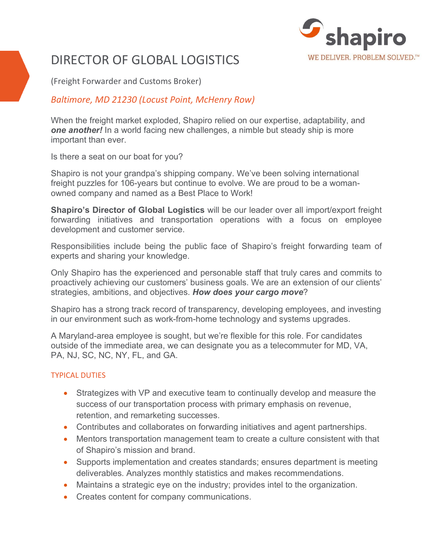

# DIRECTOR OF GLOBAL LOGISTICS

(Freight Forwarder and Customs Broker)

## *Baltimore, MD 21230 (Locust Point, McHenry Row)*

When the freight market exploded, Shapiro relied on our expertise, adaptability, and *one another!* In a world facing new challenges, a nimble but steady ship is more important than ever.

Is there a seat on our boat for you?

Shapiro is not your grandpa's shipping company. We've been solving international freight puzzles for 106-years but continue to evolve. We are proud to be a womanowned company and named as a Best Place to Work!

**Shapiro's Director of Global Logistics** will be our leader over all import/export freight forwarding initiatives and transportation operations with a focus on employee development and customer service.

Responsibilities include being the public face of Shapiro's freight forwarding team of experts and sharing your knowledge.

Only Shapiro has the experienced and personable staff that truly cares and commits to proactively achieving our customers' business goals. We are an extension of our clients' strategies, ambitions, and objectives. *How does your cargo move*?

Shapiro has a strong track record of transparency, developing employees, and investing in our environment such as work-from-home technology and systems upgrades.

A Maryland-area employee is sought, but we're flexible for this role. For candidates outside of the immediate area, we can designate you as a telecommuter for MD, VA, PA, NJ, SC, NC, NY, FL, and GA.

#### TYPICAL DUTIES

- Strategizes with VP and executive team to continually develop and measure the success of our transportation process with primary emphasis on revenue, retention, and remarketing successes.
- Contributes and collaborates on forwarding initiatives and agent partnerships.
- Mentors transportation management team to create a culture consistent with that of Shapiro's mission and brand.
- Supports implementation and creates standards; ensures department is meeting deliverables. Analyzes monthly statistics and makes recommendations.
- Maintains a strategic eye on the industry; provides intel to the organization.
- Creates content for company communications.